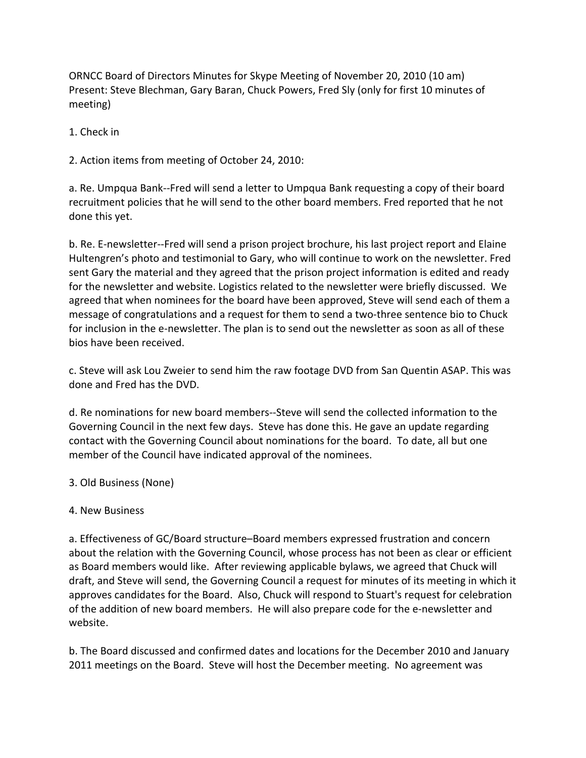ORNCC Board of Directors Minutes for Skype Meeting of November 20, 2010 (10 am) Present: Steve Blechman, Gary Baran, Chuck Powers, Fred Sly (only for first 10 minutes of meeting)

1. Check in

2. Action items from meeting of October 24, 2010:

a. Re. Umpqua Bank‐‐Fred will send a letter to Umpqua Bank requesting a copy of their board recruitment policies that he will send to the other board members. Fred reported that he not done this yet.

b. Re. E‐newsletter‐‐Fred will send a prison project brochure, his last project report and Elaine Hultengren's photo and testimonial to Gary, who will continue to work on the newsletter. Fred sent Gary the material and they agreed that the prison project information is edited and ready for the newsletter and website. Logistics related to the newsletter were briefly discussed. We agreed that when nominees for the board have been approved, Steve will send each of them a message of congratulations and a request for them to send a two-three sentence bio to Chuck for inclusion in the e-newsletter. The plan is to send out the newsletter as soon as all of these bios have been received.

c. Steve will ask Lou Zweier to send him the raw footage DVD from San Quentin ASAP. This was done and Fred has the DVD.

d. Re nominations for new board members‐‐Steve will send the collected information to the Governing Council in the next few days. Steve has done this. He gave an update regarding contact with the Governing Council about nominations for the board. To date, all but one member of the Council have indicated approval of the nominees.

3. Old Business (None)

## 4. New Business

a. Effectiveness of GC/Board structure–Board members expressed frustration and concern about the relation with the Governing Council, whose process has not been as clear or efficient as Board members would like. After reviewing applicable bylaws, we agreed that Chuck will draft, and Steve will send, the Governing Council a request for minutes of its meeting in which it approves candidates for the Board. Also, Chuck will respond to Stuart's request for celebration of the addition of new board members. He will also prepare code for the e‐newsletter and website.

b. The Board discussed and confirmed dates and locations for the December 2010 and January 2011 meetings on the Board. Steve will host the December meeting. No agreement was